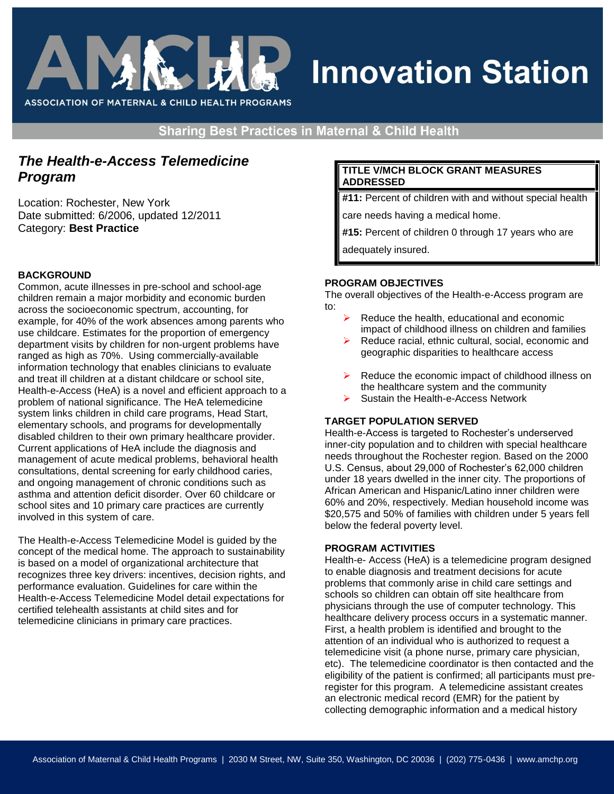

# **Innovation Station**

**Sharing Best Practices in Maternal & Child Health** 

## *The Health-e-Access Telemedicine Program*

Location: Rochester, New York Date submitted: 6/2006, updated 12/2011 Category: **Best Practice**

## **BACKGROUND**

Common, acute illnesses in pre-school and school-age children remain a major morbidity and economic burden across the socioeconomic spectrum, accounting, for example, for 40% of the work absences among parents who use childcare. Estimates for the proportion of emergency department visits by children for non-urgent problems have ranged as high as 70%. Using commercially-available information technology that enables clinicians to evaluate and treat ill children at a distant childcare or school site, Health-e-Access (HeA) is a novel and efficient approach to a problem of national significance. The HeA telemedicine system links children in child care programs, Head Start, elementary schools, and programs for developmentally disabled children to their own primary healthcare provider. Current applications of HeA include the diagnosis and management of acute medical problems, behavioral health consultations, dental screening for early childhood caries, and ongoing management of chronic conditions such as asthma and attention deficit disorder. Over 60 childcare or school sites and 10 primary care practices are currently involved in this system of care.

The Health-e-Access Telemedicine Model is guided by the concept of the medical home. The approach to sustainability is based on a model of organizational architecture that recognizes three key drivers: incentives, decision rights, and performance evaluation. Guidelines for care within the Health-e-Access Telemedicine Model detail expectations for certified telehealth assistants at child sites and for telemedicine clinicians in primary care practices.

## **TITLE V/MCH BLOCK GRANT MEASURES ADDRESSED**

**#11:** Percent of children with and without special health

care needs having a medical home.

**#15:** Percent of children 0 through 17 years who are

adequately insured.

## **PROGRAM OBJECTIVES**

The overall objectives of the Health-e-Access program are to:

- Reduce the health, educational and economic impact of childhood illness on children and families
- Reduce racial, ethnic cultural, social, economic and geographic disparities to healthcare access
- Reduce the economic impact of childhood illness on the healthcare system and the community
- Sustain the Health-e-Access Network

## **TARGET POPULATION SERVED**

Health-e-Access is targeted to Rochester's underserved inner-city population and to children with special healthcare needs throughout the Rochester region. Based on the 2000 U.S. Census, about 29,000 of Rochester's 62,000 children under 18 years dwelled in the inner city. The proportions of African American and Hispanic/Latino inner children were 60% and 20%, respectively. Median household income was \$20,575 and 50% of families with children under 5 years fell below the federal poverty level.

## **PROGRAM ACTIVITIES**

Health-e- Access (HeA) is a telemedicine program designed to enable diagnosis and treatment decisions for acute problems that commonly arise in child care settings and schools so children can obtain off site healthcare from physicians through the use of computer technology. This healthcare delivery process occurs in a systematic manner. First, a health problem is identified and brought to the attention of an individual who is authorized to request a telemedicine visit (a phone nurse, primary care physician, etc). The telemedicine coordinator is then contacted and the eligibility of the patient is confirmed; all participants must preregister for this program. A telemedicine assistant creates an electronic medical record (EMR) for the patient by collecting demographic information and a medical history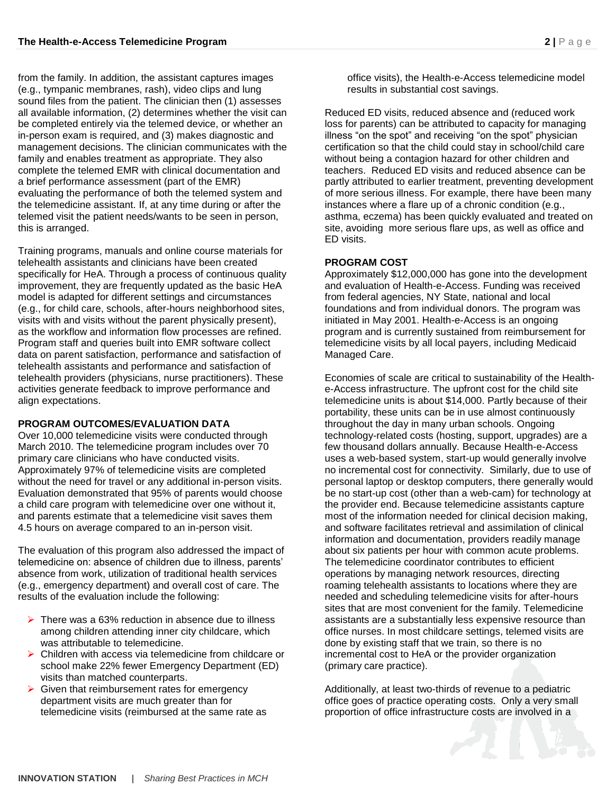from the family. In addition, the assistant captures images (e.g., tympanic membranes, rash), video clips and lung sound files from the patient. The clinician then (1) assesses all available information, (2) determines whether the visit can be completed entirely via the telemed device, or whether an in-person exam is required, and (3) makes diagnostic and management decisions. The clinician communicates with the family and enables treatment as appropriate. They also complete the telemed EMR with clinical documentation and a brief performance assessment (part of the EMR) evaluating the performance of both the telemed system and the telemedicine assistant. If, at any time during or after the telemed visit the patient needs/wants to be seen in person, this is arranged.

Training programs, manuals and online course materials for telehealth assistants and clinicians have been created specifically for HeA. Through a process of continuous quality improvement, they are frequently updated as the basic HeA model is adapted for different settings and circumstances (e.g., for child care, schools, after-hours neighborhood sites, visits with and visits without the parent physically present), as the workflow and information flow processes are refined. Program staff and queries built into EMR software collect data on parent satisfaction, performance and satisfaction of telehealth assistants and performance and satisfaction of telehealth providers (physicians, nurse practitioners). These activities generate feedback to improve performance and align expectations.

## **PROGRAM OUTCOMES/EVALUATION DATA**

Over 10,000 telemedicine visits were conducted through March 2010. The telemedicine program includes over 70 primary care clinicians who have conducted visits. Approximately 97% of telemedicine visits are completed without the need for travel or any additional in-person visits. Evaluation demonstrated that 95% of parents would choose a child care program with telemedicine over one without it, and parents estimate that a telemedicine visit saves them 4.5 hours on average compared to an in-person visit.

The evaluation of this program also addressed the impact of telemedicine on: absence of children due to illness, parents' absence from work, utilization of traditional health services (e.g., emergency department) and overall cost of care. The results of the evaluation include the following:

- $\triangleright$  There was a 63% reduction in absence due to illness among children attending inner city childcare, which was attributable to telemedicine.
- $\triangleright$  Children with access via telemedicine from childcare or school make 22% fewer Emergency Department (ED) visits than matched counterparts.
- $\triangleright$  Given that reimbursement rates for emergency department visits are much greater than for telemedicine visits (reimbursed at the same rate as

office visits), the Health-e-Access telemedicine model results in substantial cost savings.

Reduced ED visits, reduced absence and (reduced work loss for parents) can be attributed to capacity for managing illness "on the spot" and receiving "on the spot" physician certification so that the child could stay in school/child care without being a contagion hazard for other children and teachers. Reduced ED visits and reduced absence can be partly attributed to earlier treatment, preventing development of more serious illness. For example, there have been many instances where a flare up of a chronic condition (e.g., asthma, eczema) has been quickly evaluated and treated on site, avoiding more serious flare ups, as well as office and ED visits.

## **PROGRAM COST**

Approximately \$12,000,000 has gone into the development and evaluation of Health-e-Access. Funding was received from federal agencies, NY State, national and local foundations and from individual donors. The program was initiated in May 2001. Health-e-Access is an ongoing program and is currently sustained from reimbursement for telemedicine visits by all local payers, including Medicaid Managed Care.

Economies of scale are critical to sustainability of the Healthe-Access infrastructure. The upfront cost for the child site telemedicine units is about \$14,000. Partly because of their portability, these units can be in use almost continuously throughout the day in many urban schools. Ongoing technology-related costs (hosting, support, upgrades) are a few thousand dollars annually. Because Health-e-Access uses a web-based system, start-up would generally involve no incremental cost for connectivity. Similarly, due to use of personal laptop or desktop computers, there generally would be no start-up cost (other than a web-cam) for technology at the provider end. Because telemedicine assistants capture most of the information needed for clinical decision making, and software facilitates retrieval and assimilation of clinical information and documentation, providers readily manage about six patients per hour with common acute problems. The telemedicine coordinator contributes to efficient operations by managing network resources, directing roaming telehealth assistants to locations where they are needed and scheduling telemedicine visits for after-hours sites that are most convenient for the family. Telemedicine assistants are a substantially less expensive resource than office nurses. In most childcare settings, telemed visits are done by existing staff that we train, so there is no incremental cost to HeA or the provider organization (primary care practice).

Additionally, at least two-thirds of revenue to a pediatric office goes of practice operating costs. Only a very small proportion of office infrastructure costs are involved in a

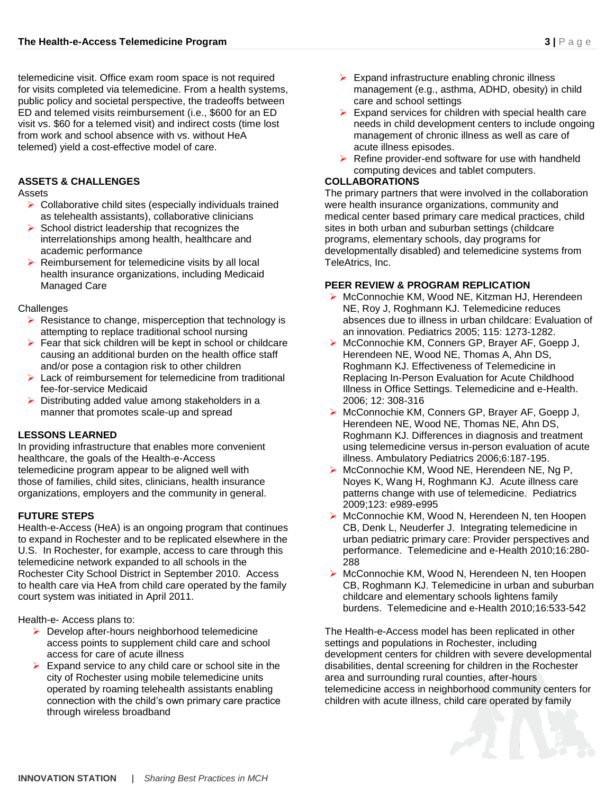telemedicine visit. Office exam room space is not required for visits completed via telemedicine. From a health systems, public policy and societal perspective, the tradeoffs between ED and telemed visits reimbursement (i.e., \$600 for an ED visit vs. \$60 for a telemed visit) and indirect costs (time lost from work and school absence with vs. without HeA telemed) yield a cost-effective model of care.

## **ASSETS & CHALLENGES**

Assets

- $\triangleright$  Collaborative child sites (especially individuals trained as telehealth assistants), collaborative clinicians
- $\triangleright$  School district leadership that recognizes the interrelationships among health, healthcare and academic performance
- $\triangleright$  Reimbursement for telemedicine visits by all local health insurance organizations, including Medicaid Managed Care

## **Challenges**

- $\triangleright$  Resistance to change, misperception that technology is attempting to replace traditional school nursing
- $\triangleright$  Fear that sick children will be kept in school or childcare causing an additional burden on the health office staff and/or pose a contagion risk to other children
- $\triangleright$  Lack of reimbursement for telemedicine from traditional fee-for-service Medicaid
- $\triangleright$  Distributing added value among stakeholders in a manner that promotes scale-up and spread

## **LESSONS LEARNED**

In providing infrastructure that enables more convenient healthcare, the goals of the Health-e-Access telemedicine program appear to be aligned well with those of families, child sites, clinicians, health insurance organizations, employers and the community in general.

## **FUTURE STEPS**

Health-e-Access (HeA) is an ongoing program that continues to expand in Rochester and to be replicated elsewhere in the U.S. In Rochester, for example, access to care through this telemedicine network expanded to all schools in the Rochester City School District in September 2010. Access to health care via HeA from child care operated by the family court system was initiated in April 2011.

Health-e- Access plans to:

- $\triangleright$  Develop after-hours neighborhood telemedicine access points to supplement child care and school access for care of acute illness
- $\triangleright$  Expand service to any child care or school site in the city of Rochester using mobile telemedicine units operated by roaming telehealth assistants enabling connection with the child's own primary care practice through wireless broadband
- $\triangleright$  Expand infrastructure enabling chronic illness management (e.g., asthma, ADHD, obesity) in child care and school settings
- $\triangleright$  Expand services for children with special health care needs in child development centers to include ongoing management of chronic illness as well as care of acute illness episodes.
- $\triangleright$  Refine provider-end software for use with handheld computing devices and tablet computers.

## **COLLABORATIONS**

The primary partners that were involved in the collaboration were health insurance organizations, community and medical center based primary care medical practices, child sites in both urban and suburban settings (childcare programs, elementary schools, day programs for developmentally disabled) and telemedicine systems from TeleAtrics, Inc.

## **PEER REVIEW & PROGRAM REPLICATION**

- ▶ McConnochie KM, Wood NE, Kitzman HJ, Herendeen NE, Roy J, Roghmann KJ. Telemedicine reduces absences due to illness in urban childcare: Evaluation of an innovation. Pediatrics 2005; 115: 1273-1282.
- McConnochie KM, Conners GP, Brayer AF, Goepp J, Herendeen NE, Wood NE, Thomas A, Ahn DS, Roghmann KJ. Effectiveness of Telemedicine in Replacing In-Person Evaluation for Acute Childhood Illness in Office Settings. Telemedicine and e-Health. 2006; 12: 308-316
- ▶ McConnochie KM, Conners GP, Brayer AF, Goepp J, Herendeen NE, Wood NE, Thomas NE, Ahn DS, Roghmann KJ. Differences in diagnosis and treatment using telemedicine versus in-person evaluation of acute illness. Ambulatory Pediatrics 2006;6:187-195.
- ▶ McConnochie KM, Wood NE, Herendeen NE, Ng P, Noyes K, Wang H, Roghmann KJ. Acute illness care patterns change with use of telemedicine. Pediatrics 2009;123: e989-e995
- ▶ McConnochie KM, Wood N, Herendeen N, ten Hoopen CB, Denk L, Neuderfer J. Integrating telemedicine in urban pediatric primary care: Provider perspectives and performance. Telemedicine and e-Health 2010;16:280- 288
- ▶ McConnochie KM, Wood N, Herendeen N, ten Hoopen CB, Roghmann KJ. Telemedicine in urban and suburban childcare and elementary schools lightens family burdens. Telemedicine and e-Health 2010;16:533-542

The Health-e-Access model has been replicated in other settings and populations in Rochester, including development centers for children with severe developmental disabilities, dental screening for children in the Rochester area and surrounding rural counties, after-hours telemedicine access in neighborhood community centers for children with acute illness, child care operated by family